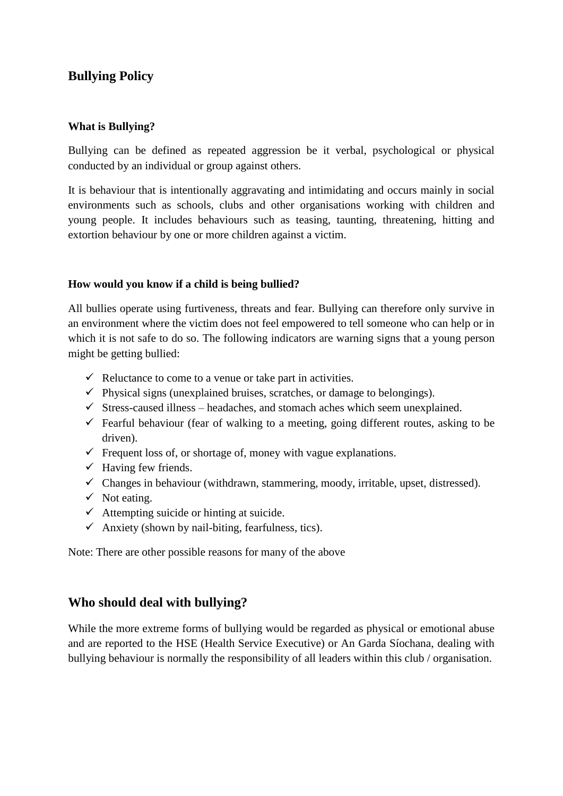# **Bullying Policy**

#### **What is Bullying?**

Bullying can be defined as repeated aggression be it verbal, psychological or physical conducted by an individual or group against others.

It is behaviour that is intentionally aggravating and intimidating and occurs mainly in social environments such as schools, clubs and other organisations working with children and young people. It includes behaviours such as teasing, taunting, threatening, hitting and extortion behaviour by one or more children against a victim.

### **How would you know if a child is being bullied?**

All bullies operate using furtiveness, threats and fear. Bullying can therefore only survive in an environment where the victim does not feel empowered to tell someone who can help or in which it is not safe to do so. The following indicators are warning signs that a young person might be getting bullied:

- $\checkmark$  Reluctance to come to a venue or take part in activities.
- $\checkmark$  Physical signs (unexplained bruises, scratches, or damage to belongings).
- $\checkmark$  Stress-caused illness headaches, and stomach aches which seem unexplained.
- $\checkmark$  Fearful behaviour (fear of walking to a meeting, going different routes, asking to be driven).
- $\checkmark$  Frequent loss of, or shortage of, money with vague explanations.
- $\checkmark$  Having few friends.
- $\checkmark$  Changes in behaviour (withdrawn, stammering, moody, irritable, upset, distressed).
- $\checkmark$  Not eating.
- $\checkmark$  Attempting suicide or hinting at suicide.
- $\checkmark$  Anxiety (shown by nail-biting, fearfulness, tics).

Note: There are other possible reasons for many of the above

### **Who should deal with bullying?**

While the more extreme forms of bullying would be regarded as physical or emotional abuse and are reported to the HSE (Health Service Executive) or An Garda Síochana, dealing with bullying behaviour is normally the responsibility of all leaders within this club / organisation.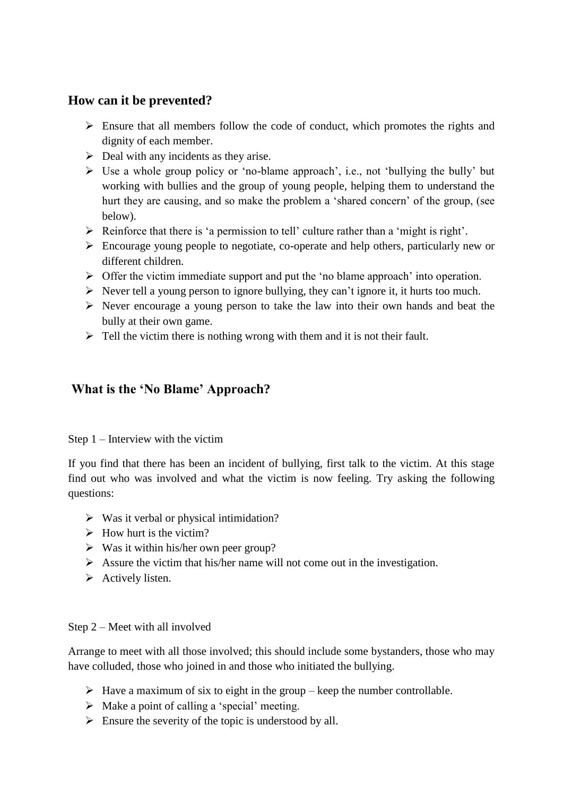## **How can it be prevented?**

- $\triangleright$  Ensure that all members follow the code of conduct, which promotes the rights and dignity of each member.
- $\triangleright$  Deal with any incidents as they arise.
- $\triangleright$  Use a whole group policy or 'no-blame approach', i.e., not 'bullying the bully' but working with bullies and the group of young people, helping them to understand the hurt they are causing, and so make the problem a "shared concern" of the group, (see below).
- $\triangleright$  Reinforce that there is 'a permission to tell' culture rather than a 'might is right'.
- Encourage young people to negotiate, co-operate and help others, particularly new or different children.
- $\triangleright$  Offer the victim immediate support and put the 'no blame approach' into operation.
- $\triangleright$  Never tell a young person to ignore bullying, they can't ignore it, it hurts too much.
- $\triangleright$  Never encourage a young person to take the law into their own hands and beat the bully at their own game.
- $\triangleright$  Tell the victim there is nothing wrong with them and it is not their fault.

## **What is the 'No Blame' Approach?**

Step 1 – Interview with the victim

If you find that there has been an incident of bullying, first talk to the victim. At this stage find out who was involved and what the victim is now feeling. Try asking the following questions:

- $\triangleright$  Was it verbal or physical intimidation?
- $\triangleright$  How hurt is the victim?
- $\triangleright$  Was it within his/her own peer group?
- $\triangleright$  Assure the victim that his/her name will not come out in the investigation.
- $\triangleright$  Actively listen.

### Step 2 – Meet with all involved

Arrange to meet with all those involved; this should include some bystanders, those who may have colluded, those who joined in and those who initiated the bullying.

- $\triangleright$  Have a maximum of six to eight in the group keep the number controllable.
- $\triangleright$  Make a point of calling a 'special' meeting.
- $\triangleright$  Ensure the severity of the topic is understood by all.